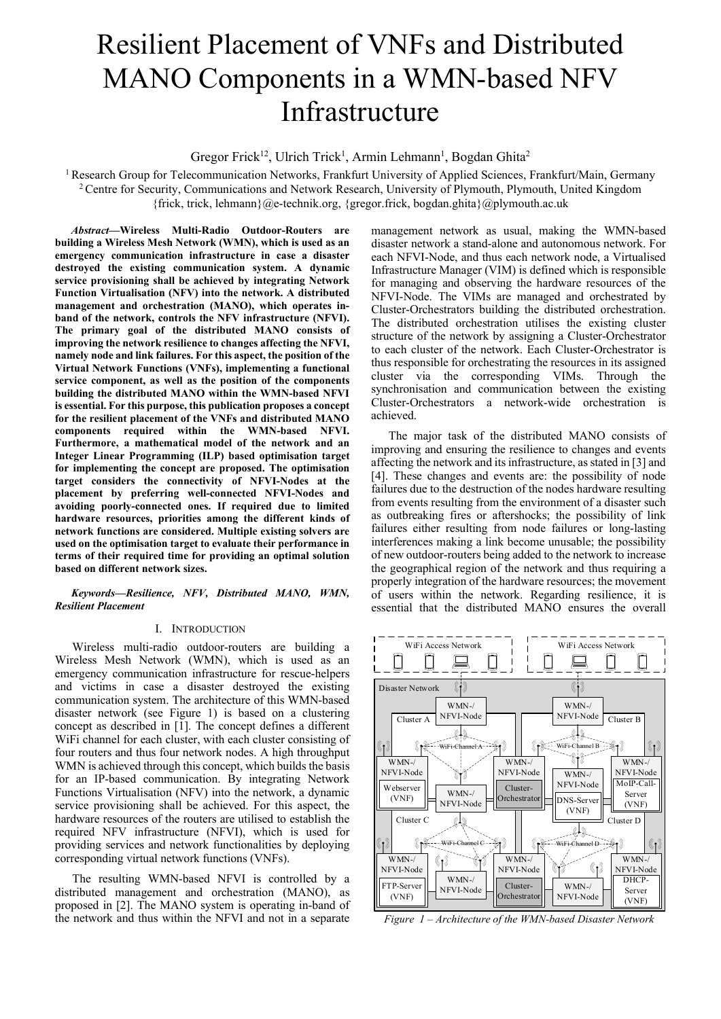# Resilient Placement of VNFs and Distributed MANO Components in a WMN-based NFV Infrastructure

Gregor Frick<sup>12</sup>, Ulrich Trick<sup>1</sup>, Armin Lehmann<sup>1</sup>, Bogdan Ghita<sup>2</sup>

<sup>1</sup> Research Group for Telecommunication Networks, Frankfurt University of Applied Sciences, Frankfurt/Main, Germany <sup>2</sup> Centre for Security, Communications and Network Research, University of Plymouth, Plymouth, United Kingdom {frick, trick, lehmann}@e-technik.org, {gregor.frick, bogdan.ghita}@plymouth.ac.uk

*Abstract***—Wireless Multi-Radio Outdoor-Routers are building a Wireless Mesh Network (WMN), which is used as an emergency communication infrastructure in case a disaster destroyed the existing communication system. A dynamic service provisioning shall be achieved by integrating Network Function Virtualisation (NFV) into the network. A distributed management and orchestration (MANO), which operates inband of the network, controls the NFV infrastructure (NFVI). The primary goal of the distributed MANO consists of improving the network resilience to changes affecting the NFVI, namely node and link failures. For this aspect, the position of the Virtual Network Functions (VNFs), implementing a functional service component, as well as the position of the components building the distributed MANO within the WMN-based NFVI is essential. For this purpose, this publication proposes a concept for the resilient placement of the VNFs and distributed MANO components required within the WMN-based NFVI. Furthermore, a mathematical model of the network and an Integer Linear Programming (ILP) based optimisation target for implementing the concept are proposed. The optimisation target considers the connectivity of NFVI-Nodes at the placement by preferring well-connected NFVI-Nodes and avoiding poorly-connected ones. If required due to limited hardware resources, priorities among the different kinds of network functions are considered. Multiple existing solvers are used on the optimisation target to evaluate their performance in terms of their required time for providing an optimal solution based on different network sizes.** 

## *Keywords—Resilience, NFV, Distributed MANO, WMN, Resilient Placement*

# I. INTRODUCTION

Wireless multi-radio outdoor-routers are building a Wireless Mesh Network (WMN), which is used as an emergency communication infrastructure for rescue-helpers and victims in case a disaster destroyed the existing communication system. The architecture of this WMN-based disaster network (see Figure 1) is based on a clustering concept as described in [1]. The concept defines a different WiFi channel for each cluster, with each cluster consisting of four routers and thus four network nodes. A high throughput WMN is achieved through this concept, which builds the basis for an IP-based communication. By integrating Network Functions Virtualisation (NFV) into the network, a dynamic service provisioning shall be achieved. For this aspect, the hardware resources of the routers are utilised to establish the required NFV infrastructure (NFVI), which is used for providing services and network functionalities by deploying corresponding virtual network functions (VNFs).

The resulting WMN-based NFVI is controlled by a distributed management and orchestration (MANO), as proposed in [2]. The MANO system is operating in-band of the network and thus within the NFVI and not in a separate

management network as usual, making the WMN-based disaster network a stand-alone and autonomous network. For each NFVI-Node, and thus each network node, a Virtualised Infrastructure Manager (VIM) is defined which is responsible for managing and observing the hardware resources of the NFVI-Node. The VIMs are managed and orchestrated by Cluster-Orchestrators building the distributed orchestration. The distributed orchestration utilises the existing cluster structure of the network by assigning a Cluster-Orchestrator to each cluster of the network. Each Cluster-Orchestrator is thus responsible for orchestrating the resources in its assigned cluster via the corresponding VIMs. Through the synchronisation and communication between the existing Cluster-Orchestrators a network-wide orchestration is achieved.

The major task of the distributed MANO consists of improving and ensuring the resilience to changes and events affecting the network and itsinfrastructure, as stated in [3] and [4]. These changes and events are: the possibility of node failures due to the destruction of the nodes hardware resulting from events resulting from the environment of a disaster such as outbreaking fires or aftershocks; the possibility of link failures either resulting from node failures or long-lasting interferences making a link become unusable; the possibility of new outdoor-routers being added to the network to increase the geographical region of the network and thus requiring a properly integration of the hardware resources; the movement of users within the network. Regarding resilience, it is essential that the distributed MANO ensures the overall



*Figure 1 – Architecture of the WMN-based Disaster Network*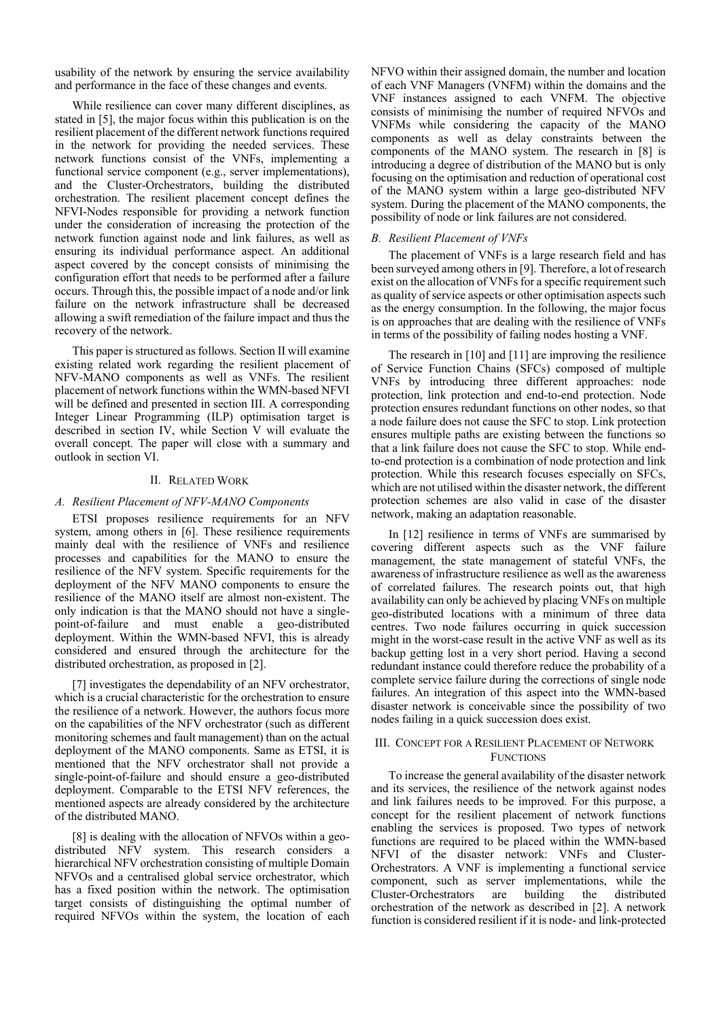usability of the network by ensuring the service availability and performance in the face of these changes and events.

While resilience can cover many different disciplines, as stated in [5], the major focus within this publication is on the resilient placement of the different network functions required in the network for providing the needed services. These network functions consist of the VNFs, implementing a functional service component (e.g., server implementations), and the Cluster-Orchestrators, building the distributed orchestration. The resilient placement concept defines the NFVI-Nodes responsible for providing a network function under the consideration of increasing the protection of the network function against node and link failures, as well as ensuring its individual performance aspect. An additional aspect covered by the concept consists of minimising the configuration effort that needs to be performed after a failure occurs. Through this, the possible impact of a node and/or link failure on the network infrastructure shall be decreased allowing a swift remediation of the failure impact and thus the recovery of the network.

This paper is structured as follows. Section II will examine existing related work regarding the resilient placement of NFV-MANO components as well as VNFs. The resilient placement of network functions within the WMN-based NFVI will be defined and presented in section III. A corresponding Integer Linear Programming (ILP) optimisation target is described in section IV, while Section V will evaluate the overall concept. The paper will close with a summary and outlook in section VI.

#### II. RELATED WORK

# *A. Resilient Placement of NFV-MANO Components*

ETSI proposes resilience requirements for an NFV system, among others in [6]. These resilience requirements mainly deal with the resilience of VNFs and resilience processes and capabilities for the MANO to ensure the resilience of the NFV system. Specific requirements for the deployment of the NFV MANO components to ensure the resilience of the MANO itself are almost non-existent. The only indication is that the MANO should not have a singlepoint-of-failure and must enable a geo-distributed deployment. Within the WMN-based NFVI, this is already considered and ensured through the architecture for the distributed orchestration, as proposed in [2].

[7] investigates the dependability of an NFV orchestrator, which is a crucial characteristic for the orchestration to ensure the resilience of a network. However, the authors focus more on the capabilities of the NFV orchestrator (such as different monitoring schemes and fault management) than on the actual deployment of the MANO components. Same as ETSI, it is mentioned that the NFV orchestrator shall not provide a single-point-of-failure and should ensure a geo-distributed deployment. Comparable to the ETSI NFV references, the mentioned aspects are already considered by the architecture of the distributed MANO.

[8] is dealing with the allocation of NFVOs within a geodistributed NFV system. This research considers a hierarchical NFV orchestration consisting of multiple Domain NFVOs and a centralised global service orchestrator, which has a fixed position within the network. The optimisation target consists of distinguishing the optimal number of required NFVOs within the system, the location of each

NFVO within their assigned domain, the number and location of each VNF Managers (VNFM) within the domains and the VNF instances assigned to each VNFM. The objective consists of minimising the number of required NFVOs and VNFMs while considering the capacity of the MANO components as well as delay constraints between the components of the MANO system. The research in [8] is introducing a degree of distribution of the MANO but is only focusing on the optimisation and reduction of operational cost of the MANO system within a large geo-distributed NFV system. During the placement of the MANO components, the possibility of node or link failures are not considered.

## *B. Resilient Placement of VNFs*

The placement of VNFs is a large research field and has been surveyed among others in [9]. Therefore, a lot of research exist on the allocation of VNFs for a specific requirement such as quality of service aspects or other optimisation aspects such as the energy consumption. In the following, the major focus is on approaches that are dealing with the resilience of VNFs in terms of the possibility of failing nodes hosting a VNF.

The research in [10] and [11] are improving the resilience of Service Function Chains (SFCs) composed of multiple VNFs by introducing three different approaches: node protection, link protection and end-to-end protection. Node protection ensures redundant functions on other nodes, so that a node failure does not cause the SFC to stop. Link protection ensures multiple paths are existing between the functions so that a link failure does not cause the SFC to stop. While endto-end protection is a combination of node protection and link protection. While this research focuses especially on SFCs, which are not utilised within the disaster network, the different protection schemes are also valid in case of the disaster network, making an adaptation reasonable.

In [12] resilience in terms of VNFs are summarised by covering different aspects such as the VNF failure management, the state management of stateful VNFs, the awareness of infrastructure resilience as well as the awareness of correlated failures. The research points out, that high availability can only be achieved by placing VNFs on multiple geo-distributed locations with a minimum of three data centres. Two node failures occurring in quick succession might in the worst-case result in the active VNF as well as its backup getting lost in a very short period. Having a second redundant instance could therefore reduce the probability of a complete service failure during the corrections of single node failures. An integration of this aspect into the WMN-based disaster network is conceivable since the possibility of two nodes failing in a quick succession does exist.

# III. CONCEPT FOR A RESILIENT PLACEMENT OF NETWORK FUNCTIONS

To increase the general availability of the disaster network and its services, the resilience of the network against nodes and link failures needs to be improved. For this purpose, a concept for the resilient placement of network functions enabling the services is proposed. Two types of network functions are required to be placed within the WMN-based NFVI of the disaster network: VNFs and Cluster-Orchestrators. A VNF is implementing a functional service component, such as server implementations, while the Cluster-Orchestrators are building the distributed building the distributed orchestration of the network as described in [2]. A network function is considered resilient if it is node- and link-protected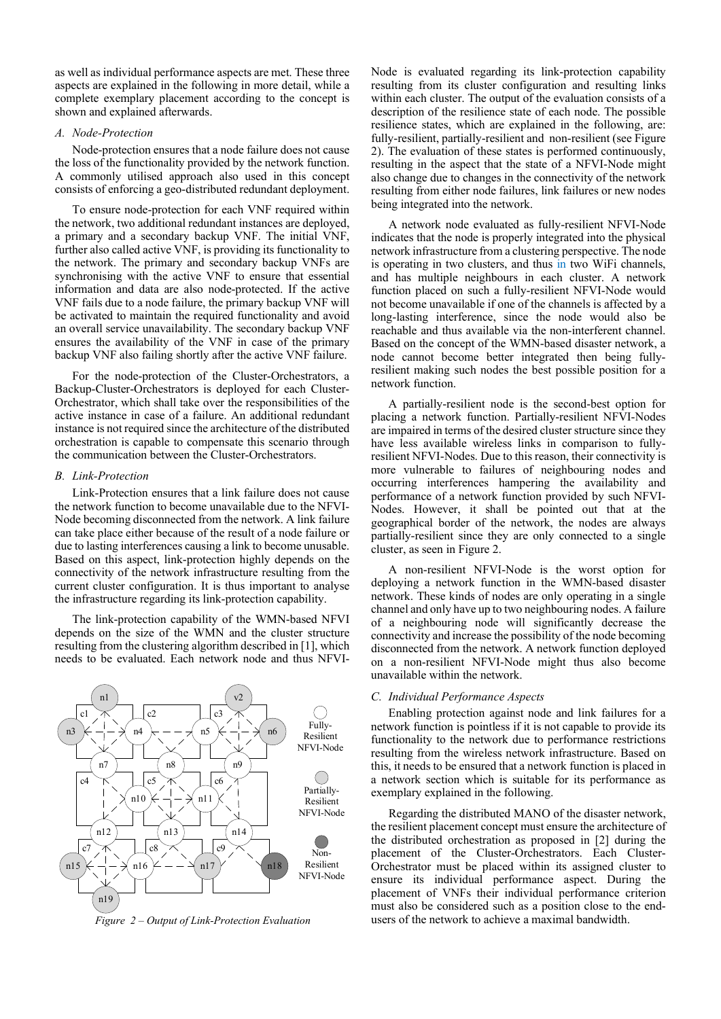as well as individual performance aspects are met. These three aspects are explained in the following in more detail, while a complete exemplary placement according to the concept is shown and explained afterwards.

#### *A. Node-Protection*

Node-protection ensures that a node failure does not cause the loss of the functionality provided by the network function. A commonly utilised approach also used in this concept consists of enforcing a geo-distributed redundant deployment.

To ensure node-protection for each VNF required within the network, two additional redundant instances are deployed, a primary and a secondary backup VNF. The initial VNF, further also called active VNF, is providing its functionality to the network. The primary and secondary backup VNFs are synchronising with the active VNF to ensure that essential information and data are also node-protected. If the active VNF fails due to a node failure, the primary backup VNF will be activated to maintain the required functionality and avoid an overall service unavailability. The secondary backup VNF ensures the availability of the VNF in case of the primary backup VNF also failing shortly after the active VNF failure.

For the node-protection of the Cluster-Orchestrators, a Backup-Cluster-Orchestrators is deployed for each Cluster-Orchestrator, which shall take over the responsibilities of the active instance in case of a failure. An additional redundant instance is not required since the architecture of the distributed orchestration is capable to compensate this scenario through the communication between the Cluster-Orchestrators.

#### *B. Link-Protection*

Link-Protection ensures that a link failure does not cause the network function to become unavailable due to the NFVI-Node becoming disconnected from the network. A link failure can take place either because of the result of a node failure or due to lasting interferences causing a link to become unusable. Based on this aspect, link-protection highly depends on the connectivity of the network infrastructure resulting from the current cluster configuration. It is thus important to analyse the infrastructure regarding its link-protection capability.

The link-protection capability of the WMN-based NFVI depends on the size of the WMN and the cluster structure resulting from the clustering algorithm described in [1], which needs to be evaluated. Each network node and thus NFVI-



Node is evaluated regarding its link-protection capability resulting from its cluster configuration and resulting links within each cluster. The output of the evaluation consists of a description of the resilience state of each node. The possible resilience states, which are explained in the following, are: fully-resilient, partially-resilient and non-resilient (see Figure 2). The evaluation of these states is performed continuously, resulting in the aspect that the state of a NFVI-Node might also change due to changes in the connectivity of the network resulting from either node failures, link failures or new nodes being integrated into the network.

A network node evaluated as fully-resilient NFVI-Node indicates that the node is properly integrated into the physical network infrastructure from a clustering perspective. The node is operating in two clusters, and thus in two WiFi channels, and has multiple neighbours in each cluster. A network function placed on such a fully-resilient NFVI-Node would not become unavailable if one of the channels is affected by a long-lasting interference, since the node would also be reachable and thus available via the non-interferent channel. Based on the concept of the WMN-based disaster network, a node cannot become better integrated then being fullyresilient making such nodes the best possible position for a network function.

A partially-resilient node is the second-best option for placing a network function. Partially-resilient NFVI-Nodes are impaired in terms of the desired cluster structure since they have less available wireless links in comparison to fullyresilient NFVI-Nodes. Due to this reason, their connectivity is more vulnerable to failures of neighbouring nodes and occurring interferences hampering the availability and performance of a network function provided by such NFVI-Nodes. However, it shall be pointed out that at the geographical border of the network, the nodes are always partially-resilient since they are only connected to a single cluster, as seen in Figure 2.

A non-resilient NFVI-Node is the worst option for deploying a network function in the WMN-based disaster network. These kinds of nodes are only operating in a single channel and only have up to two neighbouring nodes. A failure of a neighbouring node will significantly decrease the connectivity and increase the possibility of the node becoming disconnected from the network. A network function deployed on a non-resilient NFVI-Node might thus also become unavailable within the network.

### *C. Individual Performance Aspects*

Enabling protection against node and link failures for a network function is pointless if it is not capable to provide its functionality to the network due to performance restrictions resulting from the wireless network infrastructure. Based on this, it needs to be ensured that a network function is placed in a network section which is suitable for its performance as exemplary explained in the following.

Regarding the distributed MANO of the disaster network, the resilient placement concept must ensure the architecture of the distributed orchestration as proposed in [2] during the placement of the Cluster-Orchestrators. Each Cluster-Orchestrator must be placed within its assigned cluster to ensure its individual performance aspect. During the placement of VNFs their individual performance criterion must also be considered such as a position close to the end-*Figure 2 – Output of Link-Protection Evaluation* users of the network to achieve a maximal bandwidth.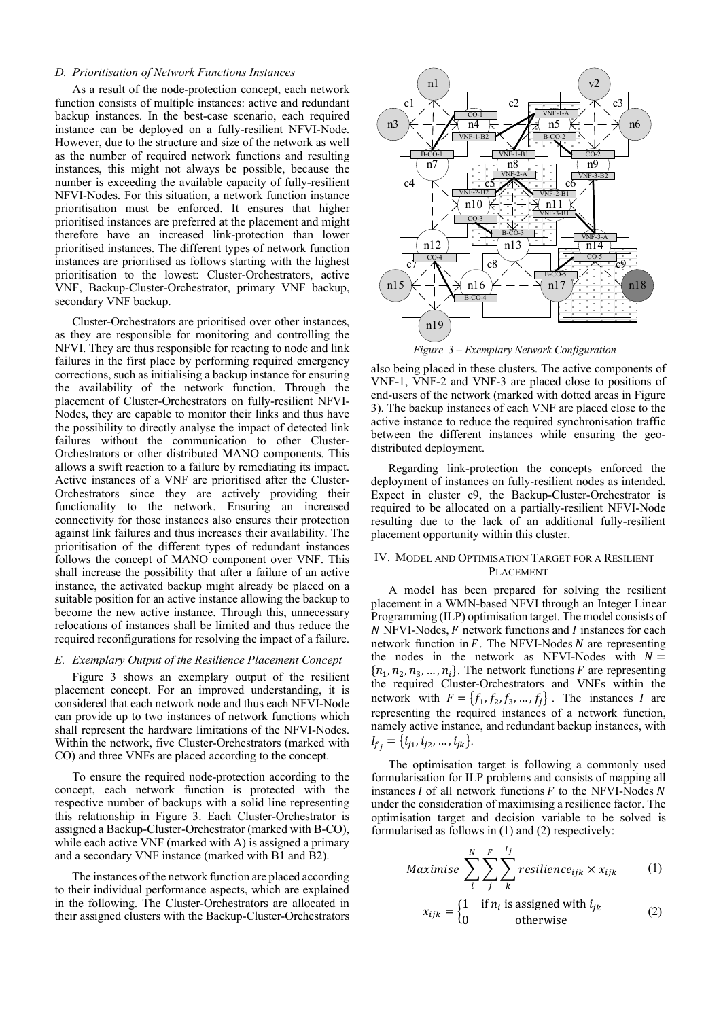#### *D. Prioritisation of Network Functions Instances*

As a result of the node-protection concept, each network function consists of multiple instances: active and redundant backup instances. In the best-case scenario, each required instance can be deployed on a fully-resilient NFVI-Node. However, due to the structure and size of the network as well as the number of required network functions and resulting instances, this might not always be possible, because the number is exceeding the available capacity of fully-resilient NFVI-Nodes. For this situation, a network function instance prioritisation must be enforced. It ensures that higher prioritised instances are preferred at the placement and might therefore have an increased link-protection than lower prioritised instances. The different types of network function instances are prioritised as follows starting with the highest prioritisation to the lowest: Cluster-Orchestrators, active VNF, Backup-Cluster-Orchestrator, primary VNF backup, secondary VNF backup.

Cluster-Orchestrators are prioritised over other instances, as they are responsible for monitoring and controlling the NFVI. They are thus responsible for reacting to node and link failures in the first place by performing required emergency corrections, such as initialising a backup instance for ensuring the availability of the network function. Through the placement of Cluster-Orchestrators on fully-resilient NFVI-Nodes, they are capable to monitor their links and thus have the possibility to directly analyse the impact of detected link failures without the communication to other Cluster-Orchestrators or other distributed MANO components. This allows a swift reaction to a failure by remediating its impact. Active instances of a VNF are prioritised after the Cluster-Orchestrators since they are actively providing their functionality to the network. Ensuring an increased connectivity for those instances also ensures their protection against link failures and thus increases their availability. The prioritisation of the different types of redundant instances follows the concept of MANO component over VNF. This shall increase the possibility that after a failure of an active instance, the activated backup might already be placed on a suitable position for an active instance allowing the backup to become the new active instance. Through this, unnecessary relocations of instances shall be limited and thus reduce the required reconfigurations for resolving the impact of a failure.

# *E. Exemplary Output of the Resilience Placement Concept*

Figure 3 shows an exemplary output of the resilient placement concept. For an improved understanding, it is considered that each network node and thus each NFVI-Node can provide up to two instances of network functions which shall represent the hardware limitations of the NFVI-Nodes. Within the network, five Cluster-Orchestrators (marked with CO) and three VNFs are placed according to the concept.

To ensure the required node-protection according to the concept, each network function is protected with the respective number of backups with a solid line representing this relationship in Figure 3. Each Cluster-Orchestrator is assigned a Backup-Cluster-Orchestrator (marked with B-CO), while each active VNF (marked with A) is assigned a primary and a secondary VNF instance (marked with B1 and B2).

The instances of the network function are placed according to their individual performance aspects, which are explained in the following. The Cluster-Orchestrators are allocated in their assigned clusters with the Backup-Cluster-Orchestrators



*Figure 3 – Exemplary Network Configuration*

also being placed in these clusters. The active components of VNF-1, VNF-2 and VNF-3 are placed close to positions of end-users of the network (marked with dotted areas in Figure 3). The backup instances of each VNF are placed close to the active instance to reduce the required synchronisation traffic between the different instances while ensuring the geodistributed deployment.

Regarding link-protection the concepts enforced the deployment of instances on fully-resilient nodes as intended. Expect in cluster c9, the Backup-Cluster-Orchestrator is required to be allocated on a partially-resilient NFVI-Node resulting due to the lack of an additional fully-resilient placement opportunity within this cluster.

# IV. MODEL AND OPTIMISATION TARGET FOR A RESILIENT PLACEMENT

A model has been prepared for solving the resilient placement in a WMN-based NFVI through an Integer Linear Programming (ILP) optimisation target. The model consists of  $N$  NFVI-Nodes,  $F$  network functions and  $I$  instances for each network function in  $F$ . The NFVI-Nodes  $N$  are representing the nodes in the network as NFVI-Nodes with  $N =$  ${n_1, n_2, n_3, ..., n_i}$ . The network functions *F* are representing the required Cluster-Orchestrators and VNFs within the network with  $F = \{f_1, f_2, f_3, ..., f_j\}$ . The instances I are representing the required instances of a network function, namely active instance, and redundant backup instances, with  $I_{f_i} = \{i_{j1}, i_{j2}, \ldots, i_{jk}\}.$ 

The optimisation target is following a commonly used formularisation for ILP problems and consists of mapping all instances  $I$  of all network functions  $F$  to the NFVI-Nodes  $N$ under the consideration of maximising a resilience factor. The optimisation target and decision variable to be solved is formularised as follows in (1) and (2) respectively:

$$
Maximise \sum_{i}^{N} \sum_{j}^{F} \sum_{k}^{I_j} residuence_{ijk} \times x_{ijk} \tag{1}
$$

$$
x_{ijk} = \begin{cases} 1 & \text{if } n_i \text{ is assigned with } i_{jk} \\ 0 & \text{otherwise} \end{cases}
$$
 (2)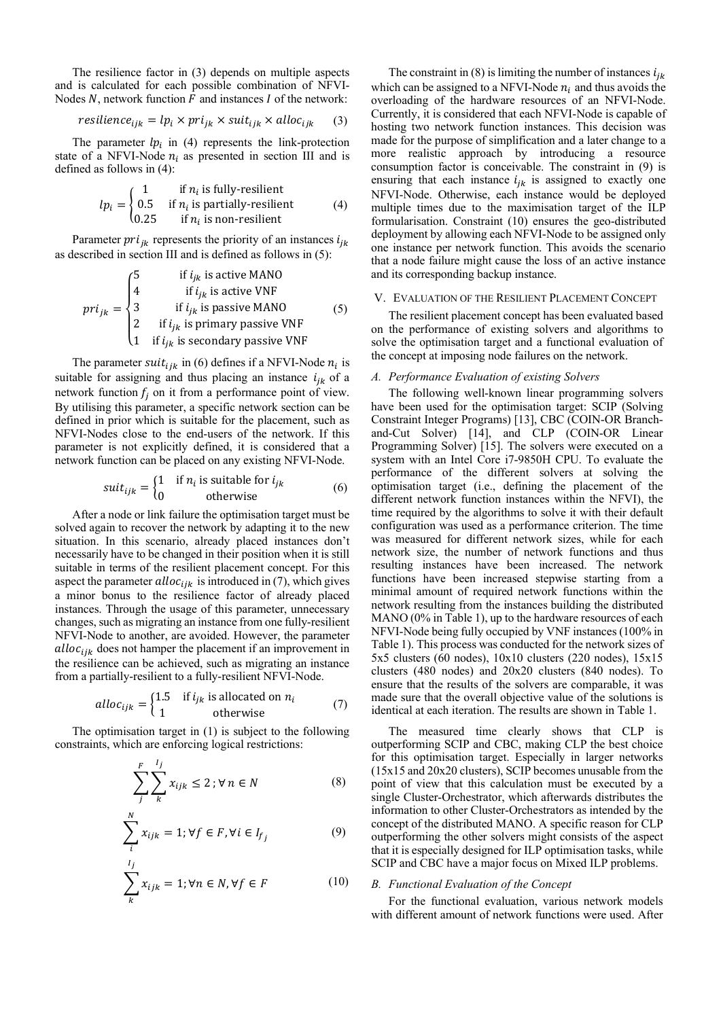The resilience factor in (3) depends on multiple aspects and is calculated for each possible combination of NFVI-Nodes N, network function  $\vec{F}$  and instances I of the network:

$$
resilience_{ijk} = lp_i \times pri_{jk} \times suit_{ijk} \times alloc_{ijk} \qquad (3)
$$

The parameter  $lp_i$  in (4) represents the link-protection state of a NFVI-Node  $n_i$  as presented in section III and is defined as follows in (4):

$$
lp_i = \begin{cases} 1 & \text{if } n_i \text{ is fully-resilient} \\ 0.5 & \text{if } n_i \text{ is partially-resilient} \\ 0.25 & \text{if } n_i \text{ is non-resilient} \end{cases} \tag{4}
$$

Parameter  $pri_{ik}$  represents the priority of an instances  $i_{ik}$ as described in section III and is defined as follows in (5):

$$
pri_{jk} = \begin{cases}\n5 & \text{if } i_{jk} \text{ is active MANO} \\
4 & \text{if } i_{jk} \text{ is active VNF} \\
3 & \text{if } i_{jk} \text{ is passive MANO} \\
2 & \text{if } i_{jk} \text{ is primary passive VNF} \\
1 & \text{if } i_{jk} \text{ is secondary passive VNF}\n\end{cases}
$$
(5)

The parameter suit<sub>ijk</sub> in (6) defines if a NFVI-Node  $n_i$  is suitable for assigning and thus placing an instance  $i_{ik}$  of a network function  $f_i$  on it from a performance point of view. By utilising this parameter, a specific network section can be defined in prior which is suitable for the placement, such as NFVI-Nodes close to the end-users of the network. If this parameter is not explicitly defined, it is considered that a network function can be placed on any existing NFVI-Node.

$$
suit_{ijk} = \begin{cases} 1 & \text{if } n_i \text{ is suitable for } i_{jk} \\ 0 & \text{otherwise} \end{cases}
$$
 (6)

After a node or link failure the optimisation target must be solved again to recover the network by adapting it to the new situation. In this scenario, already placed instances don't necessarily have to be changed in their position when it is still suitable in terms of the resilient placement concept. For this aspect the parameter  $alloc_{iik}$  is introduced in (7), which gives a minor bonus to the resilience factor of already placed instances. Through the usage of this parameter, unnecessary changes, such as migrating an instance from one fully-resilient NFVI-Node to another, are avoided. However, the parameter alloc<sub>ijk</sub> does not hamper the placement if an improvement in the resilience can be achieved, such as migrating an instance from a partially-resilient to a fully-resilient NFVI-Node.

$$
alloc_{ijk} = \begin{cases} 1.5 & \text{if } i_{jk} \text{ is allocated on } n_i \\ 1 & \text{otherwise} \end{cases} \tag{7}
$$

The optimisation target in (1) is subject to the following constraints, which are enforcing logical restrictions:

$$
\sum_{j}^{F} \sum_{k}^{l_j} x_{ijk} \le 2; \forall n \in N
$$
 (8)

$$
\sum_{i}^{N} x_{ijk} = 1; \forall f \in F, \forall i \in I_{f_j}
$$
 (9)

$$
\sum_{k}^{l_j} x_{ijk} = 1; \forall n \in N, \forall f \in F
$$
 (10)

The constraint in (8) is limiting the number of instances  $i_{ik}$ which can be assigned to a NFVI-Node  $n_i$  and thus avoids the overloading of the hardware resources of an NFVI-Node. Currently, it is considered that each NFVI-Node is capable of hosting two network function instances. This decision was made for the purpose of simplification and a later change to a more realistic approach by introducing a resource consumption factor is conceivable. The constraint in (9) is ensuring that each instance  $i_{jk}$  is assigned to exactly one NFVI-Node. Otherwise, each instance would be deployed multiple times due to the maximisation target of the ILP formularisation. Constraint (10) ensures the geo-distributed deployment by allowing each NFVI-Node to be assigned only one instance per network function. This avoids the scenario that a node failure might cause the loss of an active instance and its corresponding backup instance.

#### V. EVALUATION OF THE RESILIENT PLACEMENT CONCEPT

The resilient placement concept has been evaluated based on the performance of existing solvers and algorithms to solve the optimisation target and a functional evaluation of the concept at imposing node failures on the network.

#### *A. Performance Evaluation of existing Solvers*

The following well-known linear programming solvers have been used for the optimisation target: SCIP (Solving Constraint Integer Programs) [13], CBC (COIN-OR Branchand-Cut Solver) [14], and CLP (COIN-OR Linear Programming Solver) [15]. The solvers were executed on a system with an Intel Core i7-9850H CPU. To evaluate the performance of the different solvers at solving the optimisation target (i.e., defining the placement of the different network function instances within the NFVI), the time required by the algorithms to solve it with their default configuration was used as a performance criterion. The time was measured for different network sizes, while for each network size, the number of network functions and thus resulting instances have been increased. The network functions have been increased stepwise starting from a minimal amount of required network functions within the network resulting from the instances building the distributed MANO (0% in Table 1), up to the hardware resources of each NFVI-Node being fully occupied by VNF instances (100% in Table 1). This process was conducted for the network sizes of 5x5 clusters (60 nodes), 10x10 clusters (220 nodes), 15x15 clusters (480 nodes) and 20x20 clusters (840 nodes). To ensure that the results of the solvers are comparable, it was made sure that the overall objective value of the solutions is identical at each iteration. The results are shown in Table 1.

The measured time clearly shows that CLP is outperforming SCIP and CBC, making CLP the best choice for this optimisation target. Especially in larger networks (15x15 and 20x20 clusters), SCIP becomes unusable from the point of view that this calculation must be executed by a single Cluster-Orchestrator, which afterwards distributes the information to other Cluster-Orchestrators as intended by the concept of the distributed MANO. A specific reason for CLP outperforming the other solvers might consists of the aspect that it is especially designed for ILP optimisation tasks, while SCIP and CBC have a major focus on Mixed ILP problems.

#### *B. Functional Evaluation of the Concept*

For the functional evaluation, various network models with different amount of network functions were used. After